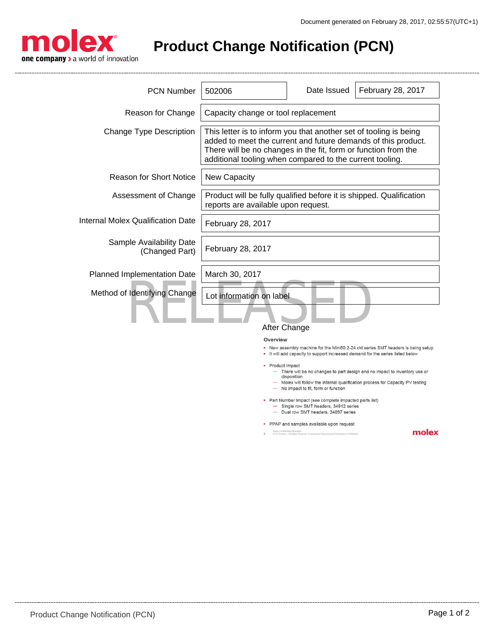

**Product Change Notification (PCN)**

| <b>PCN Number</b>                          | 502006                                                                                                                                                                                                                                                           | Date Issued                                                                                                                         | February 28, 2017 |
|--------------------------------------------|------------------------------------------------------------------------------------------------------------------------------------------------------------------------------------------------------------------------------------------------------------------|-------------------------------------------------------------------------------------------------------------------------------------|-------------------|
| Reason for Change                          | Capacity change or tool replacement                                                                                                                                                                                                                              |                                                                                                                                     |                   |
| <b>Change Type Description</b>             | This letter is to inform you that another set of tooling is being<br>added to meet the current and future demands of this product.<br>There will be no changes in the fit, form or function from the<br>additional tooling when compared to the current tooling. |                                                                                                                                     |                   |
| <b>Reason for Short Notice</b>             | <b>New Capacity</b>                                                                                                                                                                                                                                              |                                                                                                                                     |                   |
| Assessment of Change                       | Product will be fully qualified before it is shipped. Qualification<br>reports are available upon request.                                                                                                                                                       |                                                                                                                                     |                   |
| Internal Molex Qualification Date          | February 28, 2017                                                                                                                                                                                                                                                |                                                                                                                                     |                   |
| Sample Availability Date<br>(Changed Part) | February 28, 2017                                                                                                                                                                                                                                                |                                                                                                                                     |                   |
| Planned Implementation Date                | March 30, 2017                                                                                                                                                                                                                                                   |                                                                                                                                     |                   |
| Method of Identifying Change               | Lot information on label<br>After Change                                                                                                                                                                                                                         |                                                                                                                                     |                   |
|                                            | Overview<br>. New assembly machine for the Mini50 2-24 ckt series SMT headers is being setup<br>It will add capacity to support increased demand for the series listed below                                                                                     |                                                                                                                                     |                   |
|                                            | Product Impact<br>- There will be no changes to part design and no impact to inventory use or<br>disposition<br>- Molex will follow the internal qualification process for Capacity PV testing<br>- No impact to fit, form or function                           |                                                                                                                                     |                   |
|                                            | • Part Number Impact (see complete impacted parts list)<br>- Single row SMT headers, 34912 series<br>- Dual row SMT headers, 34897 series                                                                                                                        |                                                                                                                                     |                   |
|                                            | $\mathcal{D}$                                                                                                                                                                                                                                                    | PPAP and samples available upon request<br>@ 2016 Molex - All Rights Reserved. Unauthorized Reproduction/Distribution is Prohibited | molex             |